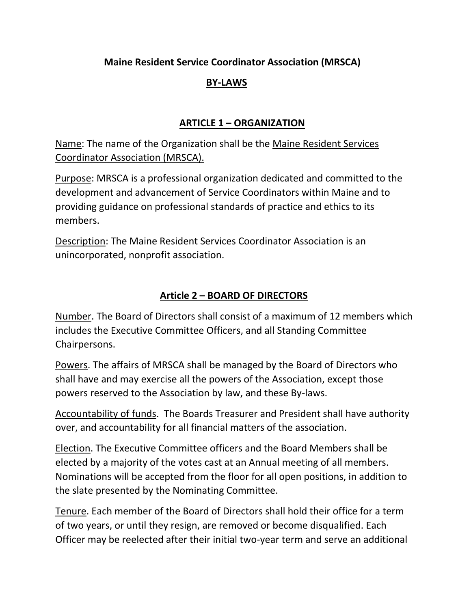### **Maine Resident Service Coordinator Association (MRSCA)**

### **BY-LAWS**

### **ARTICLE 1 – ORGANIZATION**

Name: The name of the Organization shall be the Maine Resident Services Coordinator Association (MRSCA).

Purpose: MRSCA is a professional organization dedicated and committed to the development and advancement of Service Coordinators within Maine and to providing guidance on professional standards of practice and ethics to its members.

Description: The Maine Resident Services Coordinator Association is an unincorporated, nonprofit association.

# **Article 2 – BOARD OF DIRECTORS**

Number. The Board of Directors shall consist of a maximum of 12 members which includes the Executive Committee Officers, and all Standing Committee Chairpersons.

Powers. The affairs of MRSCA shall be managed by the Board of Directors who shall have and may exercise all the powers of the Association, except those powers reserved to the Association by law, and these By-laws.

Accountability of funds. The Boards Treasurer and President shall have authority over, and accountability for all financial matters of the association.

Election. The Executive Committee officers and the Board Members shall be elected by a majority of the votes cast at an Annual meeting of all members. Nominations will be accepted from the floor for all open positions, in addition to the slate presented by the Nominating Committee.

Tenure. Each member of the Board of Directors shall hold their office for a term of two years, or until they resign, are removed or become disqualified. Each Officer may be reelected after their initial two-year term and serve an additional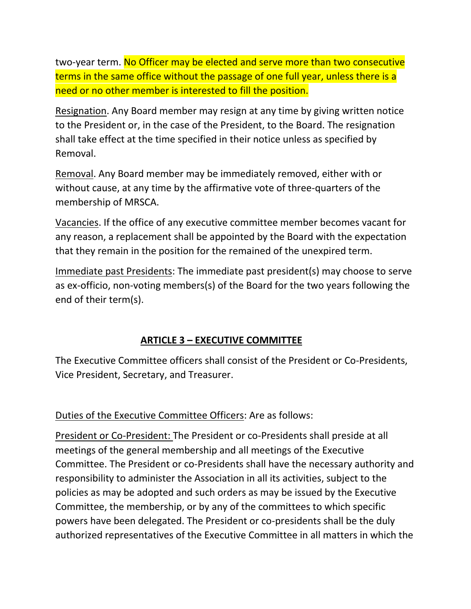two-year term. No Officer may be elected and serve more than two consecutive terms in the same office without the passage of one full year, unless there is a need or no other member is interested to fill the position.

Resignation. Any Board member may resign at any time by giving written notice to the President or, in the case of the President, to the Board. The resignation shall take effect at the time specified in their notice unless as specified by Removal.

Removal. Any Board member may be immediately removed, either with or without cause, at any time by the affirmative vote of three-quarters of the membership of MRSCA.

Vacancies. If the office of any executive committee member becomes vacant for any reason, a replacement shall be appointed by the Board with the expectation that they remain in the position for the remained of the unexpired term.

Immediate past Presidents: The immediate past president(s) may choose to serve as ex-officio, non-voting members(s) of the Board for the two years following the end of their term(s).

# **ARTICLE 3 – EXECUTIVE COMMITTEE**

The Executive Committee officers shall consist of the President or Co-Presidents, Vice President, Secretary, and Treasurer.

# Duties of the Executive Committee Officers: Are as follows:

President or Co-President: The President or co-Presidents shall preside at all meetings of the general membership and all meetings of the Executive Committee. The President or co-Presidents shall have the necessary authority and responsibility to administer the Association in all its activities, subject to the policies as may be adopted and such orders as may be issued by the Executive Committee, the membership, or by any of the committees to which specific powers have been delegated. The President or co-presidents shall be the duly authorized representatives of the Executive Committee in all matters in which the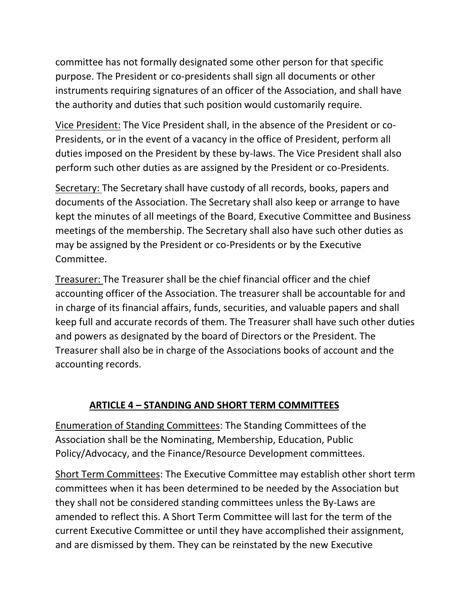committee has not formally designated some other person for that specific purpose. The President or co-presidents shall sign all documents or other instruments requiring signatures of an officer of the Association, and shall have the authority and duties that such position would customarily require.

Vice President: The Vice President shall, in the absence of the President or co-Presidents, or in the event of a vacancy in the office of President, perform all duties imposed on the President by these by-laws. The Vice President shall also perform such other duties as are assigned by the President or co-Presidents.

Secretary: The Secretary shall have custody of all records, books, papers and documents of the Association. The Secretary shall also keep or arrange to have kept the minutes of all meetings of the Board, Executive Committee and Business meetings of the membership. The Secretary shall also have such other duties as may be assigned by the President or co-Presidents or by the Executive Committee.

Treasurer: The Treasurer shall be the chief financial officer and the chief accounting officer of the Association. The treasurer shall be accountable for and in charge of its financial affairs, funds, securities, and valuable papers and shall keep full and accurate records of them. The Treasurer shall have such other duties and powers as designated by the board of Directors or the President. The Treasurer shall also be in charge of the Associations books of account and the accounting records.

# **ARTICLE 4 – STANDING AND SHORT TERM COMMITTEES**

Enumeration of Standing Committees: The Standing Committees of the Association shall be the Nominating, Membership, Education, Public Policy/Advocacy, and the Finance/Resource Development committees.

Short Term Committees: The Executive Committee may establish other short term committees when it has been determined to be needed by the Association but they shall not be considered standing committees unless the By-Laws are amended to reflect this. A Short Term Committee will last for the term of the current Executive Committee or until they have accomplished their assignment, and are dismissed by them. They can be reinstated by the new Executive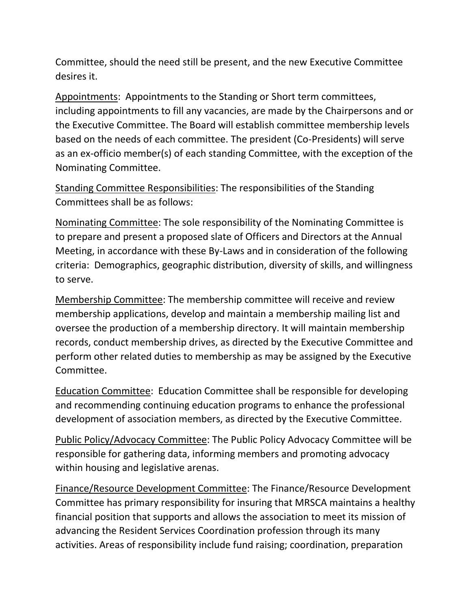Committee, should the need still be present, and the new Executive Committee desires it.

Appointments: Appointments to the Standing or Short term committees, including appointments to fill any vacancies, are made by the Chairpersons and or the Executive Committee. The Board will establish committee membership levels based on the needs of each committee. The president (Co-Presidents) will serve as an ex-officio member(s) of each standing Committee, with the exception of the Nominating Committee.

Standing Committee Responsibilities: The responsibilities of the Standing Committees shall be as follows:

Nominating Committee: The sole responsibility of the Nominating Committee is to prepare and present a proposed slate of Officers and Directors at the Annual Meeting, in accordance with these By-Laws and in consideration of the following criteria: Demographics, geographic distribution, diversity of skills, and willingness to serve.

Membership Committee: The membership committee will receive and review membership applications, develop and maintain a membership mailing list and oversee the production of a membership directory. It will maintain membership records, conduct membership drives, as directed by the Executive Committee and perform other related duties to membership as may be assigned by the Executive Committee.

Education Committee: Education Committee shall be responsible for developing and recommending continuing education programs to enhance the professional development of association members, as directed by the Executive Committee.

Public Policy/Advocacy Committee: The Public Policy Advocacy Committee will be responsible for gathering data, informing members and promoting advocacy within housing and legislative arenas.

Finance/Resource Development Committee: The Finance/Resource Development Committee has primary responsibility for insuring that MRSCA maintains a healthy financial position that supports and allows the association to meet its mission of advancing the Resident Services Coordination profession through its many activities. Areas of responsibility include fund raising; coordination, preparation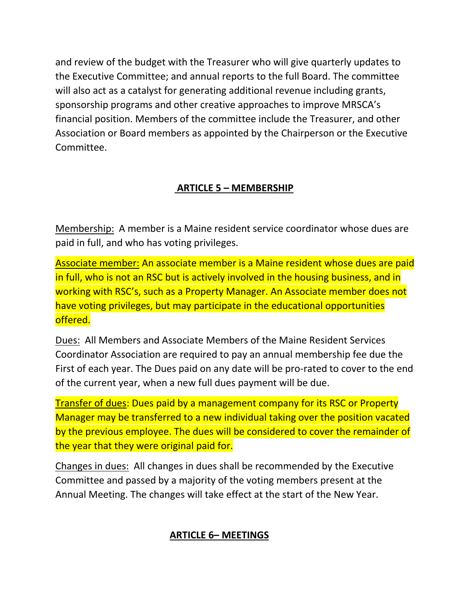and review of the budget with the Treasurer who will give quarterly updates to the Executive Committee; and annual reports to the full Board. The committee will also act as a catalyst for generating additional revenue including grants, sponsorship programs and other creative approaches to improve MRSCA's financial position. Members of the committee include the Treasurer, and other Association or Board members as appointed by the Chairperson or the Executive Committee.

### **ARTICLE 5 – MEMBERSHIP**

Membership: A member is a Maine resident service coordinator whose dues are paid in full, and who has voting privileges.

Associate member: An associate member is a Maine resident whose dues are paid in full, who is not an RSC but is actively involved in the housing business, and in working with RSC's, such as a Property Manager. An Associate member does not have voting privileges, but may participate in the educational opportunities offered.

Dues: All Members and Associate Members of the Maine Resident Services Coordinator Association are required to pay an annual membership fee due the First of each year. The Dues paid on any date will be pro-rated to cover to the end of the current year, when a new full dues payment will be due.

Transfer of dues: Dues paid by a management company for its RSC or Property Manager may be transferred to a new individual taking over the position vacated by the previous employee. The dues will be considered to cover the remainder of the year that they were original paid for.

Changes in dues: All changes in dues shall be recommended by the Executive Committee and passed by a majority of the voting members present at the Annual Meeting. The changes will take effect at the start of the New Year.

#### **ARTICLE 6– MEETINGS**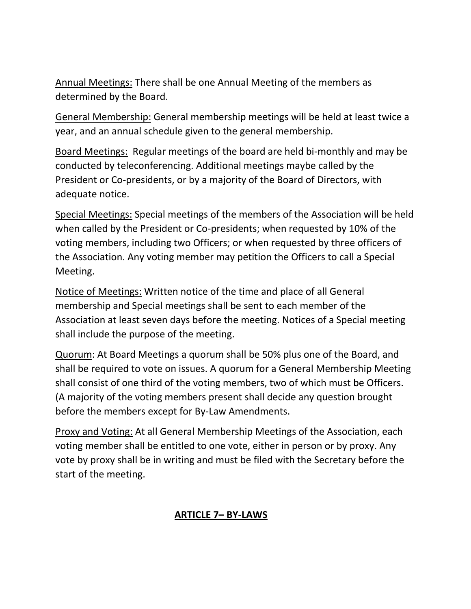Annual Meetings: There shall be one Annual Meeting of the members as determined by the Board.

General Membership: General membership meetings will be held at least twice a year, and an annual schedule given to the general membership.

Board Meetings: Regular meetings of the board are held bi-monthly and may be conducted by teleconferencing. Additional meetings maybe called by the President or Co-presidents, or by a majority of the Board of Directors, with adequate notice.

Special Meetings: Special meetings of the members of the Association will be held when called by the President or Co-presidents; when requested by 10% of the voting members, including two Officers; or when requested by three officers of the Association. Any voting member may petition the Officers to call a Special Meeting.

Notice of Meetings: Written notice of the time and place of all General membership and Special meetings shall be sent to each member of the Association at least seven days before the meeting. Notices of a Special meeting shall include the purpose of the meeting.

Quorum: At Board Meetings a quorum shall be 50% plus one of the Board, and shall be required to vote on issues. A quorum for a General Membership Meeting shall consist of one third of the voting members, two of which must be Officers. (A majority of the voting members present shall decide any question brought before the members except for By-Law Amendments.

Proxy and Voting: At all General Membership Meetings of the Association, each voting member shall be entitled to one vote, either in person or by proxy. Any vote by proxy shall be in writing and must be filed with the Secretary before the start of the meeting.

#### **ARTICLE 7– BY-LAWS**